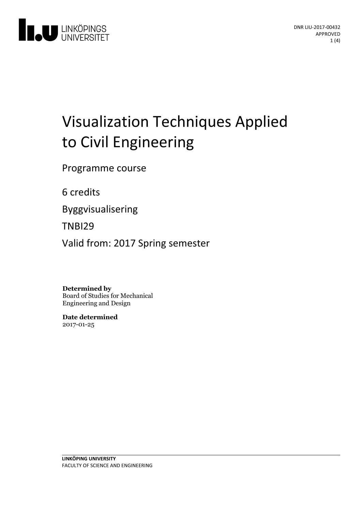

# Visualization Techniques Applied to Civil Engineering

Programme course

6 credits

Byggvisualisering

TNBI29

Valid from: 2017 Spring semester

**Determined by**

Board of Studies for Mechanical Engineering and Design

**Date determined** 2017-01-25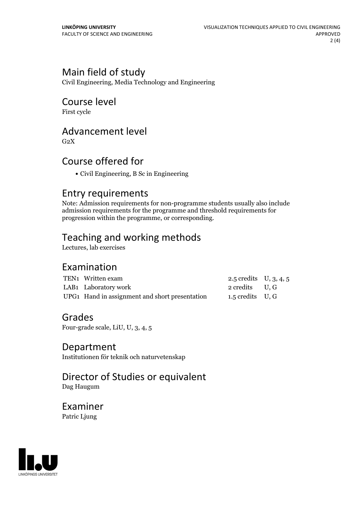# Main field of study

Civil Engineering, Media Technology and Engineering

## Course level

First cycle

## Advancement level

 $G<sub>2</sub>X$ 

# Course offered for

Civil Engineering, B Sc in Engineering

## Entry requirements

Note: Admission requirements for non-programme students usually also include admission requirements for the programme and threshold requirements for progression within the programme, or corresponding.

# Teaching and working methods

Lectures, lab exercises

## Examination

| TEN1 Written exam                              | 2.5 credits $U, 3, 4, 5$ |  |
|------------------------------------------------|--------------------------|--|
| LAB1 Laboratory work                           | 2 credits U.G            |  |
| UPG1 Hand in assignment and short presentation | 1.5 credits $U, G$       |  |

## Grades

Four-grade scale, LiU, U, 3, 4, 5

#### Department

Institutionen för teknik och naturvetenskap

#### Director of Studies or equivalent Dag Haugum

Examiner Patric Ljung

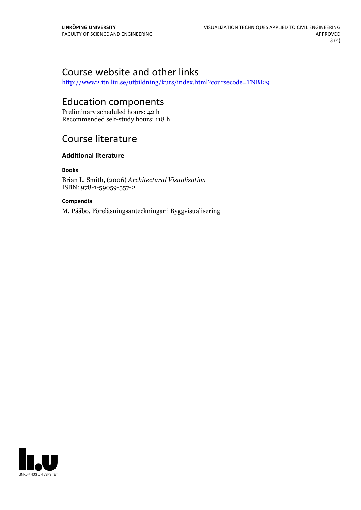# Course website and other links

<http://www2.itn.liu.se/utbildning/kurs/index.html?coursecode=TNBI29>

# Education components

Preliminary scheduled hours: 42 h Recommended self-study hours: 118 h

# Course literature

#### **Additional literature**

**Books**

Brian L. Smith, (2006) *Architectural Visualization* ISBN: 978-1-59059-557-2

#### **Compendia**

M. Pääbo, Föreläsningsanteckningar i Byggvisualisering